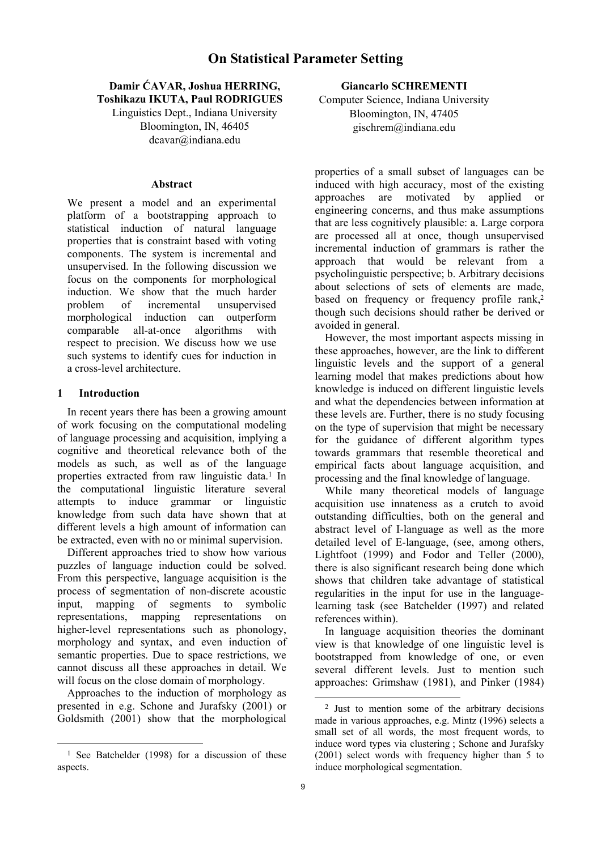## **Damir ĆAVAR, Joshua HERRING, Toshikazu IKUTA, Paul RODRIGUES**

Linguistics Dept., Indiana University Bloomington, IN, 46405 dcavar@indiana.edu

#### **Abstract**

We present a model and an experimental platform of a bootstrapping approach to statistical induction of natural language properties that is constraint based with voting components. The system is incremental and unsupervised. In the following discussion we focus on the components for morphological induction. We show that the much harder problem of incremental unsupervised morphological induction can outperform comparable all-at-once algorithms with respect to precision. We discuss how we use such systems to identify cues for induction in a cross-level architecture.

### **1 Introduction**

l

In recent years there has been a growing amount of work focusing on the computational modeling of language processing and acquisition, implying a cognitive and theoretical relevance both of the models as such, as well as of the language properties extracted from raw linguistic data.<sup>1</sup> In the computational linguistic literature several attempts to induce grammar or linguistic knowledge from such data have shown that at different levels a high amount of information can be extracted, even with no or minimal supervision.

Different approaches tried to show how various puzzles of language induction could be solved. From this perspective, language acquisition is the process of segmentation of non-discrete acoustic input, mapping of segments to symbolic representations, mapping representations on higher-level representations such as phonology, morphology and syntax, and even induction of semantic properties. Due to space restrictions, we cannot discuss all these approaches in detail. We will focus on the close domain of morphology.

Approaches to the induction of morphology as presented in e.g. Schone and Jurafsky (2001) or Goldsmith (2001) show that the morphological **Giancarlo SCHREMENTI** 

Computer Science, Indiana University Bloomington, IN, 47405 gischrem@indiana.edu

properties of a small subset of languages can be induced with high accuracy, most of the existing approaches are motivated by applied or engineering concerns, and thus make assumptions that are less cognitively plausible: a. Large corpora are processed all at once, though unsupervised incremental induction of grammars is rather the approach that would be relevant from a psycholinguistic perspective; b. Arbitrary decisions about selections of sets of elements are made, based on frequency or frequency profile rank,<sup>2</sup> though such decisions should rather be derived or avoided in general.

However, the most important aspects missing in these approaches, however, are the link to different linguistic levels and the support of a general learning model that makes predictions about how knowledge is induced on different linguistic levels and what the dependencies between information at these levels are. Further, there is no study focusing on the type of supervision that might be necessary for the guidance of different algorithm types towards grammars that resemble theoretical and empirical facts about language acquisition, and processing and the final knowledge of language.

While many theoretical models of language acquisition use innateness as a crutch to avoid outstanding difficulties, both on the general and abstract level of I-language as well as the more detailed level of E-language, (see, among others, Lightfoot (1999) and Fodor and Teller (2000), there is also significant research being done which shows that children take advantage of statistical regularities in the input for use in the languagelearning task (see Batchelder (1997) and related references within).

In language acquisition theories the dominant view is that knowledge of one linguistic level is bootstrapped from knowledge of one, or even several different levels. Just to mention such approaches: Grimshaw (1981), and Pinker (1984)

<sup>&</sup>lt;sup>1</sup> See Batchelder (1998) for a discussion of these aspects.

 <sup>2</sup> Just to mention some of the arbitrary decisions made in various approaches, e.g. Mintz (1996) selects a small set of all words, the most frequent words, to induce word types via clustering ; Schone and Jurafsky (2001) select words with frequency higher than 5 to induce morphological segmentation.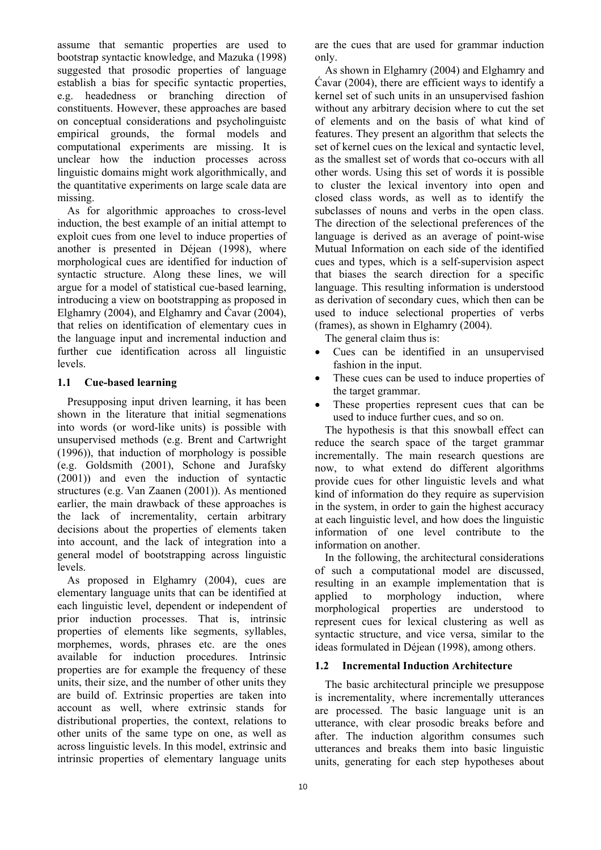assume that semantic properties are used to bootstrap syntactic knowledge, and Mazuka (1998) suggested that prosodic properties of language establish a bias for specific syntactic properties, e.g. headedness or branching direction of constituents. However, these approaches are based on conceptual considerations and psycholinguistc empirical grounds, the formal models and computational experiments are missing. It is unclear how the induction processes across linguistic domains might work algorithmically, and the quantitative experiments on large scale data are missing.

As for algorithmic approaches to cross-level induction, the best example of an initial attempt to exploit cues from one level to induce properties of another is presented in Déjean (1998), where morphological cues are identified for induction of syntactic structure. Along these lines, we will argue for a model of statistical cue-based learning, introducing a view on bootstrapping as proposed in Elghamry (2004), and Elghamry and Ćavar (2004), that relies on identification of elementary cues in the language input and incremental induction and further cue identification across all linguistic levels.

## **1.1 Cue-based learning**

Presupposing input driven learning, it has been shown in the literature that initial segmenations into words (or word-like units) is possible with unsupervised methods (e.g. Brent and Cartwright (1996)), that induction of morphology is possible (e.g. Goldsmith (2001), Schone and Jurafsky (2001)) and even the induction of syntactic structures (e.g. Van Zaanen (2001)). As mentioned earlier, the main drawback of these approaches is the lack of incrementality, certain arbitrary decisions about the properties of elements taken into account, and the lack of integration into a general model of bootstrapping across linguistic levels.

As proposed in Elghamry (2004), cues are elementary language units that can be identified at each linguistic level, dependent or independent of prior induction processes. That is, intrinsic properties of elements like segments, syllables, morphemes, words, phrases etc. are the ones available for induction procedures. Intrinsic properties are for example the frequency of these units, their size, and the number of other units they are build of. Extrinsic properties are taken into account as well, where extrinsic stands for distributional properties, the context, relations to other units of the same type on one, as well as across linguistic levels. In this model, extrinsic and intrinsic properties of elementary language units

are the cues that are used for grammar induction only.

As shown in Elghamry (2004) and Elghamry and Ćavar (2004), there are efficient ways to identify a kernel set of such units in an unsupervised fashion without any arbitrary decision where to cut the set of elements and on the basis of what kind of features. They present an algorithm that selects the set of kernel cues on the lexical and syntactic level, as the smallest set of words that co-occurs with all other words. Using this set of words it is possible to cluster the lexical inventory into open and closed class words, as well as to identify the subclasses of nouns and verbs in the open class. The direction of the selectional preferences of the language is derived as an average of point-wise Mutual Information on each side of the identified cues and types, which is a self-supervision aspect that biases the search direction for a specific language. This resulting information is understood as derivation of secondary cues, which then can be used to induce selectional properties of verbs (frames), as shown in Elghamry (2004).

The general claim thus is:

- Cues can be identified in an unsupervised fashion in the input.
- These cues can be used to induce properties of the target grammar.
- These properties represent cues that can be used to induce further cues, and so on.

The hypothesis is that this snowball effect can reduce the search space of the target grammar incrementally. The main research questions are now, to what extend do different algorithms provide cues for other linguistic levels and what kind of information do they require as supervision in the system, in order to gain the highest accuracy at each linguistic level, and how does the linguistic information of one level contribute to the information on another.

In the following, the architectural considerations of such a computational model are discussed, resulting in an example implementation that is applied to morphology induction, where morphological properties are understood to represent cues for lexical clustering as well as syntactic structure, and vice versa, similar to the ideas formulated in Déjean (1998), among others.

# **1.2 Incremental Induction Architecture**

The basic architectural principle we presuppose is incrementality, where incrementally utterances are processed. The basic language unit is an utterance, with clear prosodic breaks before and after. The induction algorithm consumes such utterances and breaks them into basic linguistic units, generating for each step hypotheses about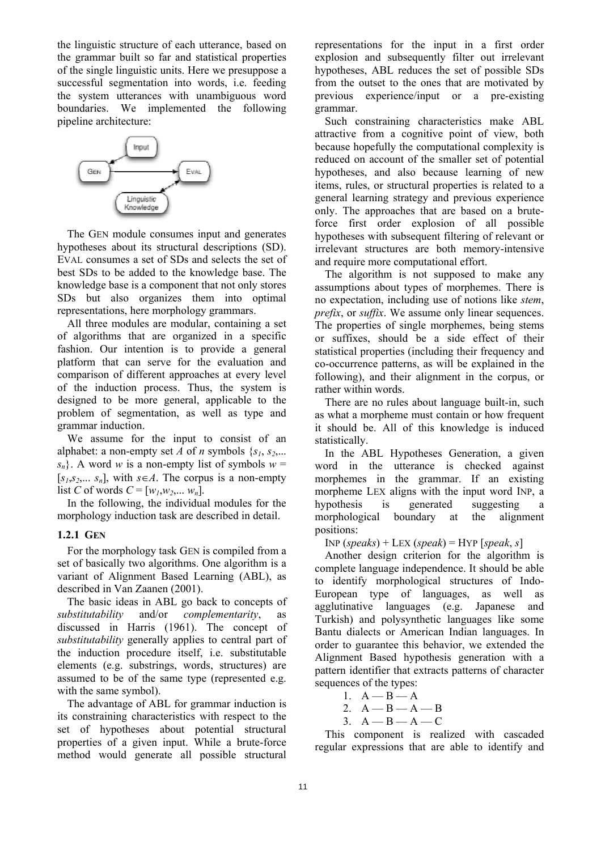the linguistic structure of each utterance, based on the grammar built so far and statistical properties of the single linguistic units. Here we presuppose a successful segmentation into words, i.e. feeding the system utterances with unambiguous word boundaries. We implemented the following pipeline architecture:



The GEN module consumes input and generates hypotheses about its structural descriptions (SD). EVAL consumes a set of SDs and selects the set of best SDs to be added to the knowledge base. The knowledge base is a component that not only stores SDs but also organizes them into optimal representations, here morphology grammars.

All three modules are modular, containing a set of algorithms that are organized in a specific fashion. Our intention is to provide a general platform that can serve for the evaluation and comparison of different approaches at every level of the induction process. Thus, the system is designed to be more general, applicable to the problem of segmentation, as well as type and grammar induction.

We assume for the input to consist of an alphabet: a non-empty set *A* of *n* symbols  $\{s_1, s_2, \ldots\}$  $s_n$ . A word *w* is a non-empty list of symbols  $w =$  $[s_1, s_2, \ldots, s_n]$ , with  $s \in A$ . The corpus is a non-empty list *C* of words  $C = [w_1, w_2, ..., w_n]$ .

In the following, the individual modules for the morphology induction task are described in detail.

### **1.2.1 GEN**

For the morphology task GEN is compiled from a set of basically two algorithms. One algorithm is a variant of Alignment Based Learning (ABL), as described in Van Zaanen (2001).

The basic ideas in ABL go back to concepts of *substitutability* and/or *complementarity*, as discussed in Harris (1961). The concept of *substitutability* generally applies to central part of the induction procedure itself, i.e. substitutable elements (e.g. substrings, words, structures) are assumed to be of the same type (represented e.g. with the same symbol).

The advantage of ABL for grammar induction is its constraining characteristics with respect to the set of hypotheses about potential structural properties of a given input. While a brute-force method would generate all possible structural representations for the input in a first order explosion and subsequently filter out irrelevant hypotheses, ABL reduces the set of possible SDs from the outset to the ones that are motivated by previous experience/input or a pre-existing grammar.

Such constraining characteristics make ABL attractive from a cognitive point of view, both because hopefully the computational complexity is reduced on account of the smaller set of potential hypotheses, and also because learning of new items, rules, or structural properties is related to a general learning strategy and previous experience only. The approaches that are based on a bruteforce first order explosion of all possible hypotheses with subsequent filtering of relevant or irrelevant structures are both memory-intensive and require more computational effort.

The algorithm is not supposed to make any assumptions about types of morphemes. There is no expectation, including use of notions like *stem*, *prefix*, or *suffix*. We assume only linear sequences. The properties of single morphemes, being stems or suffixes, should be a side effect of their statistical properties (including their frequency and co-occurrence patterns, as will be explained in the following), and their alignment in the corpus, or rather within words.

There are no rules about language built-in, such as what a morpheme must contain or how frequent it should be. All of this knowledge is induced statistically.

In the ABL Hypotheses Generation, a given word in the utterance is checked against morphemes in the grammar. If an existing morpheme LEX aligns with the input word INP, a hypothesis is generated suggesting a morphological boundary at the alignment positions:

INP  $(speaks) +$  LEX  $(speak) =$  HYP  $[speak, s]$ 

Another design criterion for the algorithm is complete language independence. It should be able to identify morphological structures of Indo-European type of languages, as well as agglutinative languages (e.g. Japanese and Turkish) and polysynthetic languages like some Bantu dialects or American Indian languages. In order to guarantee this behavior, we extended the Alignment Based hypothesis generation with a pattern identifier that extracts patterns of character sequences of the types:

$$
1. A - B - A
$$

- 2.  $A B A B$
- $3. A B A C$

This component is realized with cascaded regular expressions that are able to identify and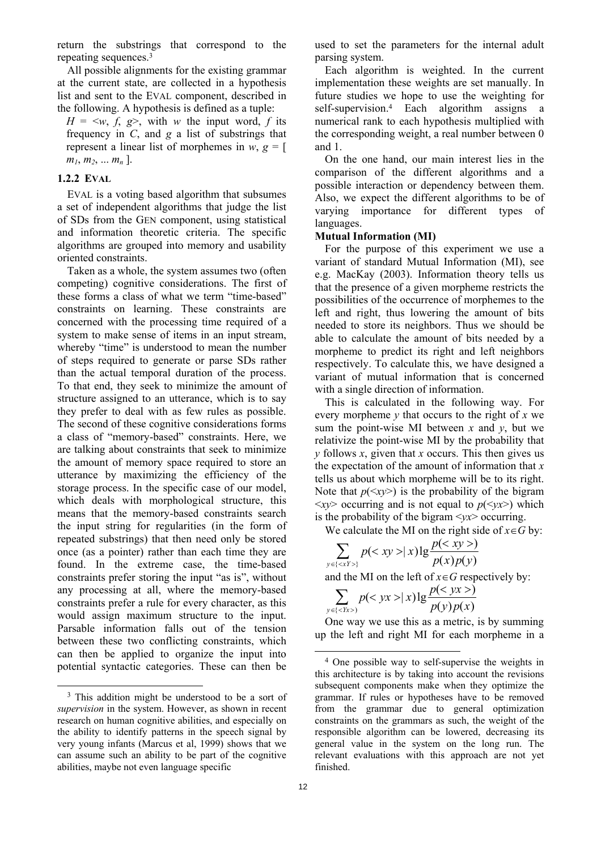return the substrings that correspond to the repeating sequences.3

All possible alignments for the existing grammar at the current state, are collected in a hypothesis list and sent to the EVAL component, described in the following. A hypothesis is defined as a tuple:

 $H = \langle w, f, g \rangle$ , with *w* the input word, *f* its frequency in *C*, and *g* a list of substrings that represent a linear list of morphemes in  $w, g = [$  $m_1, m_2, ... m_n$  ].

### **1.2.2 EVAL**

EVAL is a voting based algorithm that subsumes a set of independent algorithms that judge the list of SDs from the GEN component, using statistical and information theoretic criteria. The specific algorithms are grouped into memory and usability oriented constraints.

Taken as a whole, the system assumes two (often competing) cognitive considerations. The first of these forms a class of what we term "time-based" constraints on learning. These constraints are concerned with the processing time required of a system to make sense of items in an input stream, whereby "time" is understood to mean the number of steps required to generate or parse SDs rather than the actual temporal duration of the process. To that end, they seek to minimize the amount of structure assigned to an utterance, which is to say they prefer to deal with as few rules as possible. The second of these cognitive considerations forms a class of "memory-based" constraints. Here, we are talking about constraints that seek to minimize the amount of memory space required to store an utterance by maximizing the efficiency of the storage process. In the specific case of our model, which deals with morphological structure, this means that the memory-based constraints search the input string for regularities (in the form of repeated substrings) that then need only be stored once (as a pointer) rather than each time they are found. In the extreme case, the time-based constraints prefer storing the input "as is", without any processing at all, where the memory-based constraints prefer a rule for every character, as this would assign maximum structure to the input. Parsable information falls out of the tension between these two conflicting constraints, which can then be applied to organize the input into potential syntactic categories. These can then be

used to set the parameters for the internal adult parsing system.

Each algorithm is weighted. In the current implementation these weights are set manually. In future studies we hope to use the weighting for self-supervision.4 Each algorithm assigns a numerical rank to each hypothesis multiplied with the corresponding weight, a real number between 0 and 1.

On the one hand, our main interest lies in the comparison of the different algorithms and a possible interaction or dependency between them. Also, we expect the different algorithms to be of varying importance for different types of languages.

### **Mutual Information (MI)**

For the purpose of this experiment we use a variant of standard Mutual Information (MI), see e.g. MacKay (2003). Information theory tells us that the presence of a given morpheme restricts the possibilities of the occurrence of morphemes to the left and right, thus lowering the amount of bits needed to store its neighbors. Thus we should be able to calculate the amount of bits needed by a morpheme to predict its right and left neighbors respectively. To calculate this, we have designed a variant of mutual information that is concerned with a single direction of information.

This is calculated in the following way. For every morpheme *y* that occurs to the right of *x* we sum the point-wise MI between  $x$  and  $y$ , but we relativize the point-wise MI by the probability that *y* follows *x*, given that *x* occurs. This then gives us the expectation of the amount of information that *x* tells us about which morpheme will be to its right. Note that  $p(\langle xy \rangle)$  is the probability of the bigram  $\langle xy \rangle$  occurring and is not equal to  $p(\langle yx \rangle)$  which is the probability of the bigram <*yx*> occurring.

We calculate the MI on the right side of  $x \in G$  by:

$$
\sum_{y \in \{  \}} p(|x) \lg \frac{p()}{p(x)p(y)}
$$

and the MI on the left of  $x \in G$  respectively by:

$$
\sum_{y \in \{}} p(|x) \lg \frac{p()}{p(y)p(x)}
$$

One way we use this as a metric, is by summing up the left and right MI for each morpheme in a

 <sup>3</sup> This addition might be understood to be a sort of *supervision* in the system. However, as shown in recent research on human cognitive abilities, and especially on the ability to identify patterns in the speech signal by very young infants (Marcus et al, 1999) shows that we can assume such an ability to be part of the cognitive abilities, maybe not even language specific

 <sup>4</sup> One possible way to self-supervise the weights in this architecture is by taking into account the revisions subsequent components make when they optimize the grammar. If rules or hypotheses have to be removed from the grammar due to general optimization constraints on the grammars as such, the weight of the responsible algorithm can be lowered, decreasing its general value in the system on the long run. The relevant evaluations with this approach are not yet finished.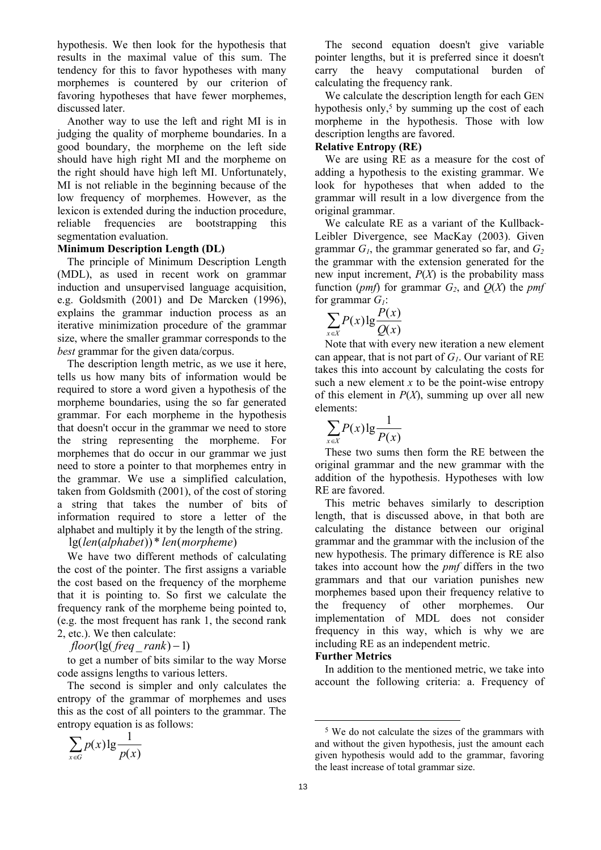hypothesis. We then look for the hypothesis that results in the maximal value of this sum. The tendency for this to favor hypotheses with many morphemes is countered by our criterion of favoring hypotheses that have fewer morphemes, discussed later.

Another way to use the left and right MI is in judging the quality of morpheme boundaries. In a good boundary, the morpheme on the left side should have high right MI and the morpheme on the right should have high left MI. Unfortunately, MI is not reliable in the beginning because of the low frequency of morphemes. However, as the lexicon is extended during the induction procedure, reliable frequencies are bootstrapping this segmentation evaluation.

## **Minimum Description Length (DL)**

The principle of Minimum Description Length (MDL), as used in recent work on grammar induction and unsupervised language acquisition, e.g. Goldsmith (2001) and De Marcken (1996), explains the grammar induction process as an iterative minimization procedure of the grammar size, where the smaller grammar corresponds to the *best* grammar for the given data/corpus.

The description length metric, as we use it here, tells us how many bits of information would be required to store a word given a hypothesis of the morpheme boundaries, using the so far generated grammar. For each morpheme in the hypothesis that doesn't occur in the grammar we need to store the string representing the morpheme. For morphemes that do occur in our grammar we just need to store a pointer to that morphemes entry in the grammar. We use a simplified calculation, taken from Goldsmith (2001), of the cost of storing a string that takes the number of bits of information required to store a letter of the alphabet and multiply it by the length of the string.

# lg(*len*(*alphabet*))\* *len*(*morpheme*)

We have two different methods of calculating the cost of the pointer. The first assigns a variable the cost based on the frequency of the morpheme that it is pointing to. So first we calculate the frequency rank of the morpheme being pointed to, (e.g. the most frequent has rank 1, the second rank 2, etc.). We then calculate:

*floor*(lg( *freq*\_ *rank*) −1)

to get a number of bits similar to the way Morse code assigns lengths to various letters.

The second is simpler and only calculates the entropy of the grammar of morphemes and uses this as the cost of all pointers to the grammar. The entropy equation is as follows:

$$
\sum_{x \in G} p(x) \lg \frac{1}{p(x)}
$$

The second equation doesn't give variable pointer lengths, but it is preferred since it doesn't carry the heavy computational burden of calculating the frequency rank.

We calculate the description length for each GEN hypothesis only,<sup>5</sup> by summing up the cost of each morpheme in the hypothesis. Those with low description lengths are favored.

### **Relative Entropy (RE)**

We are using RE as a measure for the cost of adding a hypothesis to the existing grammar. We look for hypotheses that when added to the grammar will result in a low divergence from the original grammar.

We calculate RE as a variant of the Kullback-Leibler Divergence, see MacKay (2003). Given grammar  $G_1$ , the grammar generated so far, and  $G_2$ the grammar with the extension generated for the new input increment,  $P(X)$  is the probability mass function (*pmf*) for grammar  $G_2$ , and  $Q(X)$  the *pmf* for grammar  $G_i$ :

$$
\sum_{x \in X} P(x) \lg \frac{P(x)}{Q(x)}
$$

Note that with every new iteration a new element can appear, that is not part of *G1*. Our variant of RE takes this into account by calculating the costs for such a new element  $x$  to be the point-wise entropy of this element in  $P(X)$ , summing up over all new elements:

$$
\sum_{x \in X} P(x) \lg \frac{1}{P(x)}
$$

These two sums then form the RE between the original grammar and the new grammar with the addition of the hypothesis. Hypotheses with low RE are favored.

This metric behaves similarly to description length, that is discussed above, in that both are calculating the distance between our original grammar and the grammar with the inclusion of the new hypothesis. The primary difference is RE also takes into account how the *pmf* differs in the two grammars and that our variation punishes new morphemes based upon their frequency relative to the frequency of other morphemes. Our implementation of MDL does not consider frequency in this way, which is why we are including RE as an independent metric.

### **Further Metrics**

In addition to the mentioned metric, we take into account the following criteria: a. Frequency of

 <sup>5</sup> We do not calculate the sizes of the grammars with and without the given hypothesis, just the amount each given hypothesis would add to the grammar, favoring the least increase of total grammar size.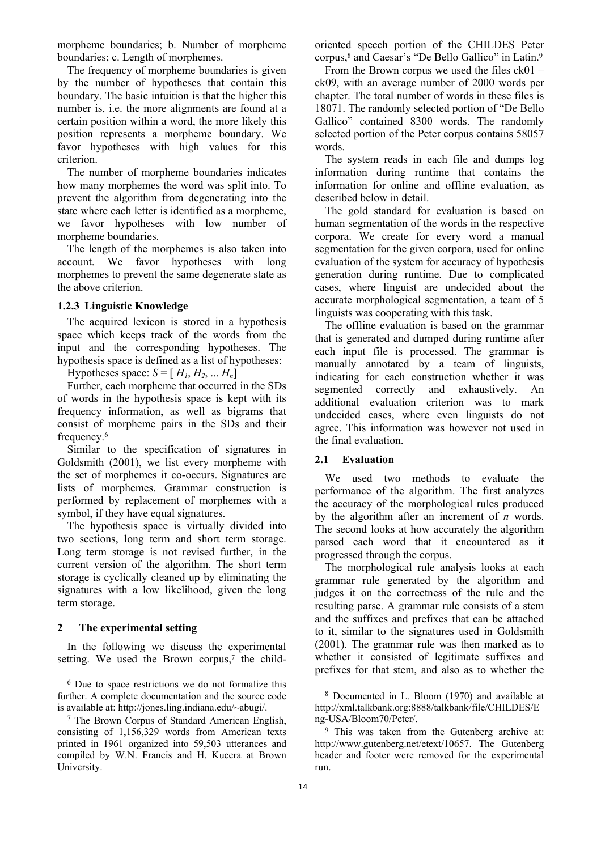morpheme boundaries; b. Number of morpheme boundaries; c. Length of morphemes.

The frequency of morpheme boundaries is given by the number of hypotheses that contain this boundary. The basic intuition is that the higher this number is, i.e. the more alignments are found at a certain position within a word, the more likely this position represents a morpheme boundary. We favor hypotheses with high values for this criterion.

The number of morpheme boundaries indicates how many morphemes the word was split into. To prevent the algorithm from degenerating into the state where each letter is identified as a morpheme, we favor hypotheses with low number of morpheme boundaries.

The length of the morphemes is also taken into account. We favor hypotheses with long morphemes to prevent the same degenerate state as the above criterion.

### **1.2.3 Linguistic Knowledge**

The acquired lexicon is stored in a hypothesis space which keeps track of the words from the input and the corresponding hypotheses. The hypothesis space is defined as a list of hypotheses:

Hypotheses space:  $S = [H_1, H_2, \dots H_n]$ 

Further, each morpheme that occurred in the SDs of words in the hypothesis space is kept with its frequency information, as well as bigrams that consist of morpheme pairs in the SDs and their frequency.6

Similar to the specification of signatures in Goldsmith (2001), we list every morpheme with the set of morphemes it co-occurs. Signatures are lists of morphemes. Grammar construction is performed by replacement of morphemes with a symbol, if they have equal signatures.

The hypothesis space is virtually divided into two sections, long term and short term storage. Long term storage is not revised further, in the current version of the algorithm. The short term storage is cyclically cleaned up by eliminating the signatures with a low likelihood, given the long term storage.

### **2 The experimental setting**

In the following we discuss the experimental setting. We used the Brown corpus, $\alpha$  the childoriented speech portion of the CHILDES Peter corpus,<sup>8</sup> and Caesar's "De Bello Gallico" in Latin.<sup>9</sup>

From the Brown corpus we used the files ck01 – ck09, with an average number of 2000 words per chapter. The total number of words in these files is 18071. The randomly selected portion of "De Bello Gallico" contained 8300 words. The randomly selected portion of the Peter corpus contains 58057 words.

The system reads in each file and dumps log information during runtime that contains the information for online and offline evaluation, as described below in detail.

The gold standard for evaluation is based on human segmentation of the words in the respective corpora. We create for every word a manual segmentation for the given corpora, used for online evaluation of the system for accuracy of hypothesis generation during runtime. Due to complicated cases, where linguist are undecided about the accurate morphological segmentation, a team of 5 linguists was cooperating with this task.

The offline evaluation is based on the grammar that is generated and dumped during runtime after each input file is processed. The grammar is manually annotated by a team of linguists, indicating for each construction whether it was segmented correctly and exhaustively. An additional evaluation criterion was to mark undecided cases, where even linguists do not agree. This information was however not used in the final evaluation.

## **2.1 Evaluation**

We used two methods to evaluate the performance of the algorithm. The first analyzes the accuracy of the morphological rules produced by the algorithm after an increment of *n* words. The second looks at how accurately the algorithm parsed each word that it encountered as it progressed through the corpus.

The morphological rule analysis looks at each grammar rule generated by the algorithm and judges it on the correctness of the rule and the resulting parse. A grammar rule consists of a stem and the suffixes and prefixes that can be attached to it, similar to the signatures used in Goldsmith (2001). The grammar rule was then marked as to whether it consisted of legitimate suffixes and prefixes for that stem, and also as to whether the

 <sup>6</sup> Due to space restrictions we do not formalize this further. A complete documentation and the source code is available at: http://jones.ling.indiana.edu/~abugi/.

<sup>7</sup> The Brown Corpus of Standard American English, consisting of 1,156,329 words from American texts printed in 1961 organized into 59,503 utterances and compiled by W.N. Francis and H. Kucera at Brown University.

 <sup>8</sup> Documented in L. Bloom (1970) and available at http://xml.talkbank.org:8888/talkbank/file/CHILDES/E ng-USA/Bloom70/Peter/.

<sup>&</sup>lt;sup>9</sup> This was taken from the Gutenberg archive at: http://www.gutenberg.net/etext/10657. The Gutenberg header and footer were removed for the experimental run.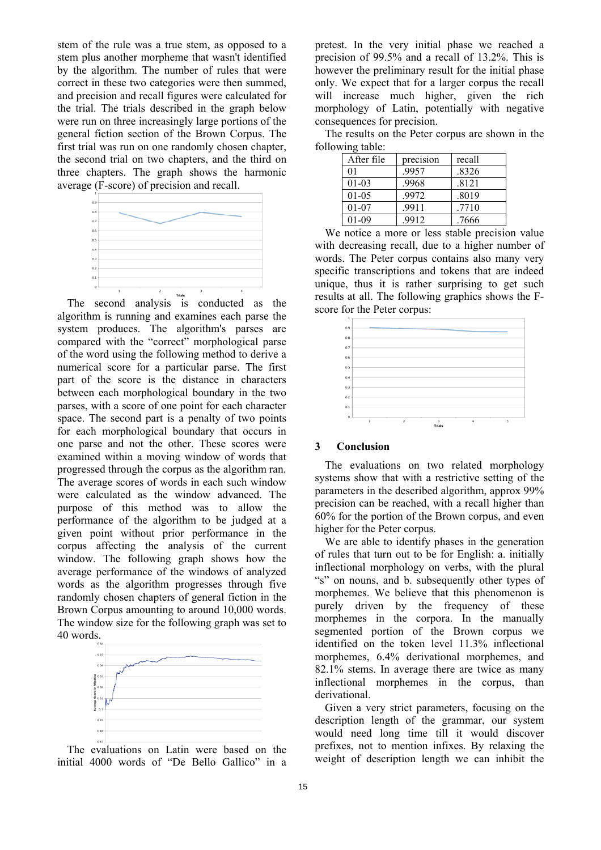stem of the rule was a true stem, as opposed to a stem plus another morpheme that wasn't identified by the algorithm. The number of rules that were correct in these two categories were then summed, and precision and recall figures were calculated for the trial. The trials described in the graph below were run on three increasingly large portions of the general fiction section of the Brown Corpus. The first trial was run on one randomly chosen chapter, the second trial on two chapters, and the third on three chapters. The graph shows the harmonic average (F-score) of precision and recall.



The second analysis is conducted as the algorithm is running and examines each parse the system produces. The algorithm's parses are compared with the "correct" morphological parse of the word using the following method to derive a numerical score for a particular parse. The first part of the score is the distance in characters between each morphological boundary in the two parses, with a score of one point for each character space. The second part is a penalty of two points for each morphological boundary that occurs in one parse and not the other. These scores were examined within a moving window of words that progressed through the corpus as the algorithm ran. The average scores of words in each such window were calculated as the window advanced. The purpose of this method was to allow the performance of the algorithm to be judged at a given point without prior performance in the corpus affecting the analysis of the current window. The following graph shows how the average performance of the windows of analyzed words as the algorithm progresses through five randomly chosen chapters of general fiction in the Brown Corpus amounting to around 10,000 words. The window size for the following graph was set to 40 words.



The evaluations on Latin were based on the initial 4000 words of "De Bello Gallico" in a pretest. In the very initial phase we reached a precision of 99.5% and a recall of 13.2%. This is however the preliminary result for the initial phase only. We expect that for a larger corpus the recall will increase much higher, given the rich morphology of Latin, potentially with negative consequences for precision.

The results on the Peter corpus are shown in the following table:

| After file | precision | recall |
|------------|-----------|--------|
| 01         | .9957     | .8326  |
| $01-03$    | .9968     | .8121  |
| $01-0.5$   | .9972     | .8019  |
| $01-07$    | .9911     | .7710  |
| $01-09$    | .9912     | .7666  |

We notice a more or less stable precision value with decreasing recall, due to a higher number of words. The Peter corpus contains also many very specific transcriptions and tokens that are indeed unique, thus it is rather surprising to get such results at all. The following graphics shows the Fscore for the Peter corpus:



### **3 Conclusion**

The evaluations on two related morphology systems show that with a restrictive setting of the parameters in the described algorithm, approx 99% precision can be reached, with a recall higher than 60% for the portion of the Brown corpus, and even higher for the Peter corpus.

We are able to identify phases in the generation of rules that turn out to be for English: a. initially inflectional morphology on verbs, with the plural "s" on nouns, and b. subsequently other types of morphemes. We believe that this phenomenon is purely driven by the frequency of these morphemes in the corpora. In the manually segmented portion of the Brown corpus we identified on the token level 11.3% inflectional morphemes, 6.4% derivational morphemes, and 82.1% stems. In average there are twice as many inflectional morphemes in the corpus, than derivational.

Given a very strict parameters, focusing on the description length of the grammar, our system would need long time till it would discover prefixes, not to mention infixes. By relaxing the weight of description length we can inhibit the